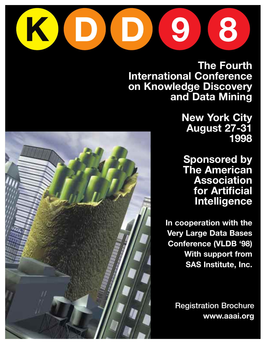

**The Fourth International Conference on Knowledge Discovery and Data Mining** 

> **New York City August 27-31 1998**

**Sponsored by The American Association for Artificial Intelligence**

**In cooperation with the Very Large Data Bases Conference (VLDB '98) With support from SAS Institute, Inc.**

> **Registration Brochure www.aaai.org**

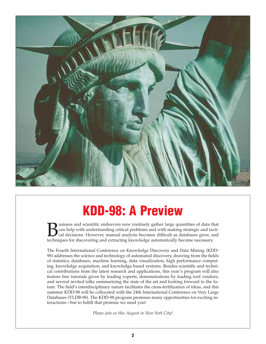

## **KDD-98: A Preview**

**Business and scientific endeavors now routinely gather large quantities of data that can help with understanding critical problems and with making strategic and tactical cal decisions. However, manual analysis becomes dif** can help with understanding critical problems and with making strategic and tactical decisions. However, manual analysis becomes difficult as databases grow, and techniques for discovering and extracting knowledge automatically become necessary.

The Fourth International Conference on Knowledge Discovery and Data Mining (KDD-98) addresses the science and technology of automated discovery, drawing from the fields of statistics, databases, machine learning, data visualization, high performance computing, knowledge acquisition, and knowledge-based systems. Besides scientific and technical contributions from the latest research and applications, this year's program will also feature free tutorials given by leading experts, demonstrations by leading tool vendors, and several invited talks summarizing the state of the art and looking forward to the future. The field's interdisciplinary nature facilitates the cross-fertilization of ideas, and this summer KDD-98 will be collocated with the 24th International Conference on Very Large Databases (VLDB-98). The KDD-98 program promises many opportunities for exciting interactions—but to fulfill that promise we need you!

*Please join us this August in New York City!*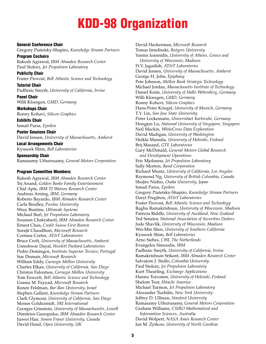# **KDD-98 Organization**

#### **General Conference Chair**

Gregory Piatetsky-Shapiro, *Knowledge Stream Partners*

**Program Cochairs** Rakesh Agrawal, *IBM Almaden Research Center* Paul Stolorz, *Jet Propulsion Laboratory*

**Publicity Chair** Foster Provost, *Bell Atlantic Science and Technology*

**Tutorial Chair** Padhraic Smyth, *University of California, Irvine*

**Panel Chair** Willi Kloesgen, *GMD, Germany*

**Workshops Chair** Ronny Kohavi, *Silicon Graphics*

**Exhibits Chair** Ismail Parsa, *Epsilon*

**Poster Sessions Chair** David Jensen, *University of Massachusetts, Amherst*

**Local Arrangements Chair** Kyusoek Shim, *Bell Laboratories*

**Sponsorship Chair** Ramasamy Uthurusamy, *General Motors Corporation*

#### **Program Committee Members:**

Rakesh Agrawal, *IBM Almaden Research Center* Tej Anand, *Golden Books Family Entertainment* Chid Apte, *IBM TJ Watson Research Center* Andreas Arning, *IBM, Germany* Roberto Bayardo, *IBM Almaden Research Center* Carla Brodley, *Purdue University* Wray Buntine, *Ultimode Systems* Michael Burl, *Jet Propulsion Laboratory* Soumen Chakrabarti, *IBM Almaden Research Center* Ernest Chan, *Credit Suisse First Boston* Surajit Chaudhuri, *Microsoft Research* Corinna Cortes, *AT&T Laboratories* Bruce Croft, *University of Massachusetts, Amherst* Umeshwar Dayal, *Hewlett Packard Laboratories* Pedro Domingos, *Instituto Superior Tecnico, Portugal* Sue Dumais, *Microsoft Research* William Eddy, *Carnegie Mellon University* Charles Elkan, *University of California, San Diego* Christos Faloutsos, *Carnegie Mellon University* Tom Fawcett, *Bell Atlantic Science and Technology* Usama M. Fayyad, *Microsoft Research* Ronen Feldman, *Bar-Ilan University, Israel* Stephen Gallant, *Knowledge Stream Partners* Clark Glymour, *University of California, San Diego* Moises Goldszmidt, *SRI International* Georges Grinstein, *University of Massachusetts, Lowell* Dimitrios Gunopulos, *IBM Almaden Research Center* Jiawei Han, *Simon Fraser University, Canada* David Hand, *Open University, UK*

David Heckerman, *Microsoft Research* Tomas Imielinski, *Rutgers University* Yannis Ioannidis, *University of Athens, Greece and University of Wisconsin, Madison* H.V. Jagadish, *AT&T Laboratories* David Jensen, *University of Massachusetts, Amherst* George H. John, *Epiphany* Pete Johnson, *Mellon Bank Strategic Technology* Michael Jordan, *Massachusetts Institute of Technology* Daniel Keim, *University of Halle-Wittenberg, Germany* Willi Kloesgen, *GMD, Germany* Ronny Kohavi, *Silicon Graphics* Hans-Peter Kriegel, *University of Munich, Germany* T.Y. Lin, *San Jose State University* Peter Lockemann, *Universitaet Karlsruhe, Germany* Hongjun Lu, *National University of Singapore, Singapore* Neil Mackin, *WhiteCross Data Exploration* David Madigan, *University of Washington* Heikki Mannila, *University of Helsinki, Finland* Brij Masand, *GTE Laboratories* Gary McDonald, *General Motors Global Research and Development Operations* Eric Mjolsness, *Jet Propulsion Laboratory* Sally Morton, *Rand Corporation* Richard Muntz, *University of California, Los Angeles* Raymond Ng, *University of British Columbia, Canada* Shojiro Nishio, *Osaka University, Japan* Ismail Parsa, *Epsilon* Gregory Piatetsky-Shapiro, *Knowledge Stream Partners* Daryl Pregibon, *AT&T Laboratories* Foster Provost, *Bell Atlantic Science and Technology* Raghu Ramakrishnan, *University of Wisconsin, Madison* Patricia Riddle, *University of Auckland, New Zealand* Ted Senator, *National Association of Securities Dealers* Jude Shavlik, *University of Wisconsin, Madison* Wei-Min Shen, *University of Southern California* Kyusoek Shim, *Bell Laboratories* Arno Siebes, *CWI, The Netherlands* Evangelos Simoudis, *IBM* Padhraic Smyth, *University of California, Irvine* Ramakrishnan Srikant, *IBM Almaden Research Center* Salvatore J. Stolfo, *Columbia University* Paul Stolorz, *Jet Propulsion Laboratory* Kurt Thearling, *Exchange Applications* Hannu Toivonen, *University of Helsinki, Finland* Shalom Tsur, *Hitachi America* Michael Turmon, *Jet Propulsion Laboratory* Alexander Tuzhilin, *New York University* Jeffrey D. Ullman, *Stanford University* Ramasamy Uthurusamy, *General Motors Corporation* Graham Williams, *CSIRO Mathematical and Information Sciences, Australia* David Wolpert, *NASA Ames Research Center* Jan M. Zytkow, *University of North Carolina*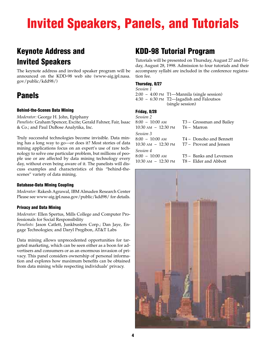# **Invited Speakers, Panels, and Tutorials**

## **Keynote Address and Invited Speakers**

The keynote address and invited speaker program will be announced on the KDD-98 web site (www-aig.jpl.nasa. gov/public/kdd98/)

## **Panels**

#### **Behind-the-Scenes Data Mining**

*Moderator:* George H. John, Epiphany *Panelists:* Graham Spencer, Excite; Gerald Fahner, Fair, Isaac & Co.; and Paul DuBose Analytika, Inc.

Truly successful technologies become invisible. Data mining has a long way to go—or does it? Most stories of data mining applications focus on an expert's use of raw technology to solve one particular problem, but millions of people use or are affected by data mining technology every day, without even being aware of it. The panelists will discuss examples and characteristics of this "behind-thescenes" variety of data mining.

#### **Database-Data Mining Coupling**

*Moderator:* Rakesh Agrawal, IBM Almaden Research Center Please see www-aig.jpl.nasa.gov/public/kdd98/ for details.

#### **Privacy and Data Mining**

*Moderator:* Ellen Spertus, Mills College and Computer Professionals for Social Responsibility

*Panelists:* Jason Catlett, Junkbusters Corp.; Dan Jaye, Engage Technologies; and Daryl Pregibon, AT&T Labs

Data mining allows unprecedented opportunities for targeted marketing, which can be seen either as a boon for advertisers and consumers or as an enormous invasion of privacy. This panel considers ownership of personal information and explores how maximum benefits can be obtained from data mining while respecting individuals' privacy.

### **KDD-98 Tutorial Program**

Tutorials will be presented on Thursday, August 27 and Friday, August 28, 1998. Admission to four tutorials and their accompany syllabi are included in the conference registration fee.

#### **Thursday, 8/27**

*Session 1* 2:00 – 4:00 PM T1—Mannila (single session) 4:30 – 6:30 PM T2—Jagadish and Faloutsos (single session)

#### **Friday, 8/28**

| <i>Session 2</i>    |                                     |
|---------------------|-------------------------------------|
| $8:00 - 10:00$ AM   | T3 - Grossman and Bailey            |
| 10:30 am - 12:30 pm | T6 – Marron                         |
| Session 3           |                                     |
| 8:00 - 10:00 am     | T <sub>4</sub> – Donoho and Bennett |
| 10:30 am - 12:30 pm | T7 – Provost and Jensen             |
| Session 4           |                                     |
| 8:00 - 10:00 am     | T5 – Banks and Levenson             |
| 10:30 am - 12:30 pm | T8 – Elder and Abbott               |
|                     |                                     |

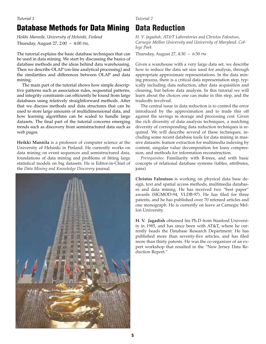#### *Tutorial 1*

## **Database Methods for Data Mining**

*Heikki Mannila, University of Helsinki, Finland* Thursday, August 27, 2:00 – 4:00 PM,

The tutorial explains the basic database techniques that can be used in data mining. We start by discussing the basics of database methods and the ideas behind data warehousing. Then we describe OLAP (on-line analytical processing) and the similarities and differences between OLAP and data mining.

The main part of the tutorial shows how simple descriptive patterns such as association rules, sequential patterns, and integrity constraints can efficiently be found from large databases using relatively straightforward methods. After that we discuss methods and data structures that can be used to store large amounts of multidimensional data, and how learning algorithms can be scaled to handle large datasets. The final part of the tutorial concerns emerging trends such as discovery from semistructured data such as web pages.

**Heikki Mannila** is a professor of computer science at the University of Helsinki in Finland. He currently works on data mining on event sequences and semistructured data, foundations of data mining and problems of fitting large statistical models on big datasets. He is Editor-in-Chief of the *Data Mining and Knowledge Discovery* journal.



*Tutorial 2*

## **Data Reduction**

*H. V. Jagadish, AT&T Laboratories and Christos Faloutsos, Carnegie Mellon University and University of Maryland, College Park*

Thursday, August 27, 4:30 – 6:30 PM

Given a warehouse with a very large data set, we describe how to reduce the data set size used for analysis, through appropriate approximate representations. In the data mining process, there is a critical data representation step, typically including data reduction, after data acquisition and cleaning, but before data analysis. In this tutorial we will learn about the choices one can make in this step, and the tradeoffs involved.

The central issue in data reduction is to control the error introduced by the approximation and to trade this off against the savings in storage and processing cost. Given the rich diversity of data analysis techniques, a matching diversity of corresponding data reduction techniques is required. We will describe several of these techniques, including some recent database tools for data mining in massive datasets: feature extraction for multimedia indexing by content, singular value decomposition for lossy compression, and methods for information reconstruction.

*Prerequisites:* Familiarity with B-trees, and with basic concepts of relational database systems (tables, attributes, joins)

**Christos Faloutsos** is working on physical data base design, text and spatial access methods, multimedia databases and data mining. He has received two "best paper" awards (SIGMOD-94, VLDB-97). He has filed for three patents, and he has published over 70 refereed articles and one monograph. He is currently on leave at Carnegie Mellon University.

**H. V. Jagadish** obtained his Ph.D from Stanford University in 1985, and has since been with AT&T, where he currently heads the Database Research Department. He has published more than seventy-five articles, and has filed more than thirty patents. He was the co-organizer of an expert workshop that resulted in the "New Jersey Data Reduction Report."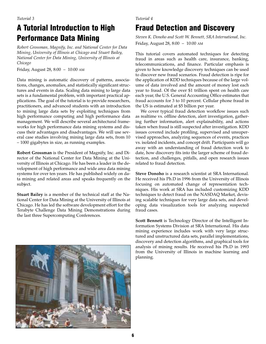## **A Tutorial Introduction to High Performance Data Mining**

*Robert Grossman, Magnify, Inc. and National Center for Data Mining, University of Illinois at Chicago and Stuart Bailey, National Center for Data Mining, University of Illinois at Chicago*

Friday, August 28, 8:00 – 10:00 AM

Data mining is automatic discovery of patterns, associations, changes, anomalies, and statistically significant structures and events in data. Scaling data mining to large data sets is a fundamental problem, with important practical applications. The goal of the tutorial is to provide researchers, practitioners, and advanced students with an introduction to mining large data sets by exploiting techniques from high performance computing and high performance data management. We will describe several architectural frameworks for high performance data mining systems and discuss their advantages and disadvantages. We will use several case studies involving mining large data sets, from 10 – 1000 gigabytes in size, as running examples.

**Robert Grossman** is the President of Magnify, Inc. and Director of the National Center for Data Mining at the University of Illinois at Chicago. He has been a leader in the development of high performance and wide area data mining systems for over ten years. He has published widely on data mining and related areas and speaks frequently on the subject.

**Stuart Bailey** is a member of the technical staff at the National Center for Data Mining at the University of Illinois at Chicago. He has led the software development effort for the Terabyte Challenge Data Mining Demonstrations during the last three Supercomputing Conferences.



#### *Tutorial 4*

## **Fraud Detection and Discovery**

*Steven K. Donoho and Scott W. Bennett, SRA International, Inc.* Friday, August 28, 8:00 – 10:00 AM

This tutorial covers automated techniques for detecting fraud in areas such as health care, insurance, banking, telecommunications, and finance. Particular emphasis is given to how knowledge discovery techniques can be used to discover new fraud scenarios. Fraud detection is ripe for the application of KDD techniques because of the large volume of data involved and the amount of money lost each year to fraud. Of the over \$1 trillion spent on health care each year, the U.S. General Accounting Office estimates that fraud accounts for 3 to 10 percent. Cellular phone fraud in the US is estimated at \$5 billion per year.

We cover typical fraud detection workflow issues such as realtime vs. offline detection, alert investigation, gathering further information, alert explainability, and actions taken when fraud is still suspected after investigation. KDD issues covered include profiling, supervised and unsupervised approaches, analyzing sequences of events, practices vs. isolated incidents, and concept drift. Participants will go away with an understanding of fraud detection work to date, how discovery fits into the larger scheme of fraud detection, and challenges, pitfalls, and open research issues related to fraud detection.

**Steve Donoho** is a research scientist at SRA International. He received his Ph.D in 1996 from the University of Illinois focusing on automated change of representation techniques. His work at SRA has included customizing KDD techniques to detect fraud on the NASDAQ Market, devising scalable techniques for very large data sets, and developing data visualization tools for analyzing suspected fraud cases.

**Scott Bennett** is Technology Director of the Intelligent Information Systems Division at SRA International. His data mining experience includes work with very large structured and unstructured data sets, parallel implementations, discovery and detection algorithms, and graphical tools for analysis of mining results. He received his Ph.D in 1993 from the University of Illinois in machine learning and planning.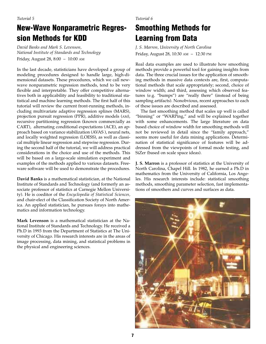## **New-Wave Nonparametric Regression Methods for KDD**

*David Banks and Mark S. Levenson, National Institute of Standards and Technology* Friday, August 28, 8:00 – 10:00 AM

In the last decade, statisticians have developed a group of modeling procedures designed to handle large, high-dimensional datasets. These procedures, which we call newwave nonparametric regression methods, tend to be very flexible and interpretable. They offer competitive alternatives both in applicability and feasibility to traditional statistical and machine learning methods. The first half of this tutorial will review the current front-running methods, including multivariate adaptive regression splines (MARS), projection pursuit regression (PPR), additive models (AM), recursive partitioning regression (known commercially as CART), alternating conditional expectations (ACE), an approach based on variance stabilization (AVAS ), neural nets, and locally weighted regression (LOESS), as well as classical multiple linear regression and stepwise regression. During the second half of the tutorial, we will address practical considerations in the choice and use of the methods. This will be based on a large-scale simulation experiment and examples of the methods applied to various datasets. Freeware software will be used to demonstrate the procedures.

**David Banks** is a mathematical statistician, at the National Institute of Standards and Technology (and formerly an associate professor of statistics at Carnegie Mellon University). He is coeditor of the *Encyclopedia of Statistical Sciences,* and chair-elect of the Classification Society of North America. An applied statistician, he pursues forays into mathematics and information technology.

**Mark Levenson** is a mathematical statistician at the National Institute of Standards and Technology. He received a Ph.D in 1993 from the Department of Statistics at The University of Chicago. His research interests are in the areas of image processing, data mining, and statistical problems in the physical and engineering sciences.

*Tutorial 6* 

## **Smoothing Methods for Learning from Data**

*J. S. Marron, University of North Carolina* Friday, August 28, 10:30 AM – 12:30 PM

Real data examples are used to illustrate how smoothing methods provide a powerful tool for gaining insights from data. The three crucial issues for the application of smoothing methods in massive data contexts are, first, computational methods that scale appropriately; second, choice of window width; and third, assessing which observed features (e.g. "bumps") are "really there" (instead of being sampling artifacts). Nonobvious, recent approaches to each of these issues are described and assessed.

The fast smoothing method that scales up well is called "binning" or "WARPing," and will be explained together with some enhancements. The large literature on data based choice of window width for smoothing methods will not be reviewed in detail since the "family approach," seems more useful for data mining applications. Determination of statistical significance of features will be addressed from the viewpoints of formal mode testing, and SiZer (based on scale space ideas).

**J. S. Marron** is a professor of statistics at the University of North Carolina, Chapel Hill. In 1982, he earned a Ph.D in mathematics from the University of California, Los Angeles. His research interests include: statistical smoothing methods, smoothing parameter selection, fast implementations of smoothers and curves and surfaces as data.

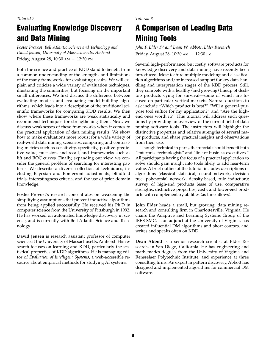## **Evaluating Knowledge Discovery and Data Mining**

*Foster Provost, Bell Atlantic Science and Technology and David Jensen, University of Massachusetts, Amherst* Friday, August 28, 10:30 AM – 12:30 PM

Both the science and practice of KDD stand to benefit from a common understanding of the strengths and limitations of the many frameworks for evaluating results. We will explain and criticize a wide variety of evaluation techniques, illustrating the similarities, but focusing on the important small differences. We first discuss the difference between evaluating models and evaluating model-building algorithms, which leads into a description of the traditional scientific frameworks for comparing KDD results. We then show where these frameworks are weak statistically and recommend techniques for strengthening them. Next, we discuss weaknesses of these frameworks when it comes to the practical application of data mining results. We show how to make evaluations more robust for a wide variety of real-world data mining scenarios, comparing and contrasting metrics such as sensitivity, specificity, positive predictive value, precision, and recall, and frameworks such as lift and ROC curves. Finally, expanding our view, we consider the general problem of searching for interesting patterns. We describe a diverse collection of techniques, including Bayesian and Bonferroni adjustments, blindfold trials, interestingness criteria, and the use of prior domain knowledge.

**Foster Provost**'s research concentrates on weakening the simplifying assumptions that prevent inductive algorithms from being applied successfully. He received his Ph.D in computer science from the University of Pittsburgh in 1992. He has worked on automated knowledge discovery in science, and is currently with Bell Atlantic Science and Technology.

**David Jensen** is research assistant professor of computer science at the University of Massachusetts, Amherst. His research focuses on learning and KDD, particularly the statistical properties of KDD algorithms. He is managing editor of *Evaluation of Intelligent Systems,* a web-accessible resource about empirical methods for studying AI systems.

#### *Tutorial 8*

## **A Comparison of Leading Data Mining Tools**

*John F. Elder IV and Dean W. Abbott, Elder Research* Friday, August 28, 10:30 AM – 12:30 PM

Several high-performance, but costly, software products for knowledge discovery and data mining have recently been introduced. Most feature multiple modeling and classification algorithms and/or increased support for key data-handling and interpretation stages of the KDD process. Still, they compete with a healthy (and growing) lineup of desktop products vying for survival—some of which are focused on particular vertical markets. Natural questions to ask include "Which product is best?" "Will a general-purpose tool suffice for my application?" and "Are the highend ones worth it?" This tutorial will address such questions by providing an overview of the current field of data mining software tools. The instructors will highlight the distinctive properties and relative strengths of several major products, and share practical insights and observations from their use.

Though technical in parts, the tutorial should benefit both "enterprise technologists" and "line-of-business executives." All participants having the focus of a practical application to solve should gain insight into tools likely to add near-term value. A brief outline of the tutorial includes descriptions of algorithms (classical statistical, neural network, decision tree, polynomial network, density-based, rule induction); survey of high-end products (ease of use, comparative strengths, distinctive properties, cost); and lower-end products with complementary abilities (as time allows).

**John Elder** heads a small, but growing, data mining research and consulting firm in Charlottesville, Virginia. He chairs the Adaptive and Learning Systems Group of the IEEE-SMC, is an adjunct at the University of Virginia, has created influential DM algorithms and short courses, and writes and speaks often on KDD.

**Dean Abbott** is a senior research scientist at Elder Research, in San Diego, California. He has engineering and mathematics degrees from the University of Virginia and Rensselaer Polytechnic Institute, and experience at three consulting firms. An expert in pattern discovery, Abbott has designed and implemented algorithms for commercial DM software.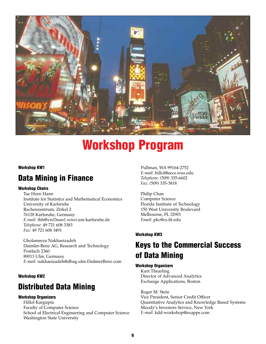

## **Workshop Program**

#### **Workshop KW1**

### **Data Mining in Finance**

#### **Workshop Chairs**

Tae Horn Hann Institute for Statistics and Mathematical Economics University of Karlsruhe Rachenzentrum, Zirkel 2 76128 Karlsruhe, Germany *E-mail:* thh@vwl3sun1.wiwi.uni-karlsruhe.de *Telephone:* 49 721 608 3383 *Fax:* 49 721 608 3491

Gholamreza Nakhaeizadeh Daimler-Benz AG, Research and Technology Postfach 2360 89013 Ulm, Germany *E-mail:* nakhaeizadeh@dbag.ulm.DailmerBenz.com

#### **Workshop KW2**

### **Distributed Data Mining**

#### **Workshop Organizers**

Hillol Kargupta Faculty of Computer Science School of Electrical Engineering and Computer Science Washington State University

Pullman, WA 99164-2752 *E-mail:* hillol@eecs.wsu.edu *Telephone:* (509) 335-6602 *Fax:* (509) 335-3818

Philip Chan Computer Science Florida Institute of Technology 150 West University Boulevard Melbourne, FL 32901 *Email:* pkc@cs.fit.edu

#### **Workshop KW3**

## **Keys to the Commercial Success of Data Mining**

#### **Workshop Organizers**

Kurt Thearling Director of Advanced Analytics Exchange Applications, Boston

Roger M. Stein Vice President, Senior Credit Officer Quantitative Analytics and Knowledge Based Systems Moody's Investors Service, New York *E-mail:* kdd-workshop@exapps.com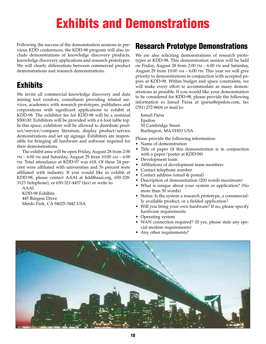## **Exhibits and Demonstrations**

Following the success of the demonstration sessions in previous KDD conferences, the KDD-98 program will also include demonstrations of knowledge discovery products, knowledge discovery applications and research prototypes. We will clearly differentiate between commercial product demonstrations and research demonstrations.

## **Exhibits**

We invite all commercial knowledge discovery and data mining tool vendors, consultants providing related services, academics with research prototypes, publishers and corporations with significant applications to exhibit at KDD-98. The exhibitor fee for KDD-98 will be a nominal \$500.00. Exhibitors will be provided with a 6 foot table top. In this space, exhibitors will be allowed to distribute product/service/company literature, display product/service demonstrations and set up signage. Exhibitors are responsible for bringing all hardware and software required for their demonstrations.

The exhibit area will be open Friday, August 28 from 2:00 PM – 6:00 PM and Saturday, August 29 from 10:00 AM – 6:00 PM. Total attendance at KDD-97 was 618. Of these 24 percent were affiliated with universities and 76 percent were affiliated with industry. If you would like to exhibit at KDD-98, please contact AAAI at kdd@aaai.org, 650-328- 3123 (telephone), or 650-321-4457 (fax) or write to:

AAAI KDD-98 Exhibits 445 Burgess Drive Menlo Park, CA 94025-3442 USA

### **Research Prototype Demonstrations**

We are also soliciting demonstrations of research prototypes at KDD-98. This demonstration session will be held on Friday, August 28 from 2:00 PM – 6:00 PM and Saturday, August 29 from  $10:00$  AM  $-6:00$  PM. This year we will give priority to demonstrations in conjunction with accepted papers at KDD-98. Within budget and space constraints, we will make every effort to accommodate as many demonstrations as possible. If you would like your demonstration to be considered for KDD-98, please provide the following information to Ismail Parsa at iparsa@epsilon.com, fax (781) 272-8604 or mail to:

Ismail Parsa Epsilon 50 Cambridge Street Burlington, MA 01803 USA

Please provide the following information:

- Name of demonstration
- Title of paper (if this demonstration is in conjunction with a paper/poster at KDD-98)
- Development team
- Affiliations of development team members
- Contact telephone number
- Contact address (email & postal)
- Description of demonstration (200 words maximum)
- What is unique about your system or application? (No more than 50 words)
- Status: Is the system a research prototype, a commercially available product, or a fielded application?
- Will you bring your own hardware? If no, please specify hardware requirements
- Operating system
- WAN connection required? (If yes, please state any special modem requirements)
- Any other requirements?

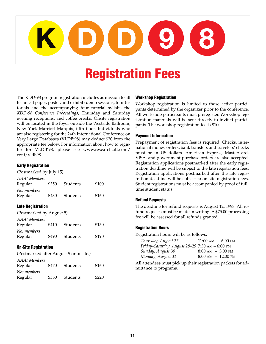

## **Registration Fees**

The KDD-98 program registration includes admission to all technical paper, poster, and exhibit/demo sessions, four tutorials and the accompanying four tutorial syllabi, the *KDD-98 Conference Proceedings,* Thursday and Saturday evening receptions, and coffee breaks. Onsite registration will be located in the foyer outside the Westside Ballroom, New York Marriott Marquis, fifth floor. Individuals who are also registering for the 24th International Conference on Very Large Databases (VLDB'98) may deduct \$20 from the appropriate fee below. For information about how to register for VLDB'98, please see www.research.att.com/ conf/vldb98.

#### **Early Registration**

(Postmarked by July 15)

| AAAI Members<br>Regular | \$350 | Students | \$100 |
|-------------------------|-------|----------|-------|
| Nonmembers<br>Regular   | \$430 | Students | \$160 |

#### **Late Registration**

| (Postmarked by August 5) |       |          |       |
|--------------------------|-------|----------|-------|
| AAAI Members             |       |          |       |
| Regular                  | \$410 | Students | \$130 |
| Nonmembers               |       |          |       |
| Regular                  | \$490 | Students | \$190 |

#### **On-Site Registration**

(Postmarked after August 5 or onsite.)

| AAAI Members<br>Regular | \$470 | Students | \$160 |
|-------------------------|-------|----------|-------|
| Nonmembers              |       |          |       |
| Regular                 | \$550 | Students | \$220 |

#### **Workshop Registration**

Workshop registration is limited to those active participants determined by the organizer prior to the conference. All workshop participants must preregister. Workshop registration materials will be sent directly to invited participants. The workshop registration fee is \$100.

#### **Payment Information**

Prepayment of registration fees is required. Checks, international money orders, bank transfers and travelers' checks must be in US dollars. American Express, MasterCard, VISA, and government purchase orders are also accepted. Registration applications postmarked after the early registration deadline will be subject to the late registration fees. Registration applications postmarked after the late registration deadline will be subject to on-site registration fees. Student registrations must be accompanied by proof of fulltime student status.

#### **Refund Requests**

The deadline for refund requests is August 12, 1998. All refund requests must be made in writing. A \$75.00 processing fee will be assessed for all refunds granted.

#### **Registration Hours**

Registration hours will be as follows:

| Thursday, August 27                             | $11:00$ AM $-6:00$ PM                 |
|-------------------------------------------------|---------------------------------------|
| Friday-Saturday, August 28-29 7:30 AM - 6:00 PM |                                       |
| Sunday, August 30                               | $8:00 \text{ AM} - 3:00 \text{ PM}$   |
| Monday, August 31                               | $8:00 \text{ AM} - 12:00 \text{ PM}.$ |

All attendees must pick up their registration packets for admittance to programs.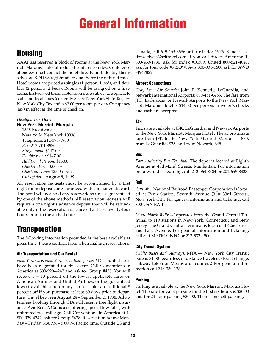## **General Information**

### **Housing**

AAAI has reserved a block of rooms at the New York Marriott Marquis Hotel at reduced conference rates. Conference attendees must contact the hotel directly and identify themselves as KDD-98 registrants to qualify for the reduced rates. Hotel rooms are priced as singles (1 person, 1 bed), and doubles (2 persons, 2 beds). Rooms will be assigned on a firstcome, first-served basis. Hotel rooms are subject to applicable state and local taxes (currently 8.25% New York State Tax, 5% New York City Tax and a \$2.00 per room per day Occupancy Tax) in effect at the time of check in.

#### *Headquarters Hotel*

#### **New York Marriott Marquis**

1535 Broadway New York, New York 10036 Telephone: 212-398-1900 *Fax:* 212-704-8930 *Single room:* \$147.00 *Double room:* \$147.00 *Additional Person:* \$15.00 *Check-in time:* 3:00 PM *Check-out time:* 12:00 noon *Cut-off date:* August 5, 1998.

All reservation requests must be accompanied by a first night room deposit, or guaranteed with a major credit card. The hotel will not hold any reservations unless guaranteed by one of the above methods. All reservation requests will require a one night's advance deposit that will be refundable only if the reservation is canceled at least twenty-four hours prior to the arrival date.

## **Transporation**

The following information provided is the best available at press time. Please confirm fares when making reservations.

#### **Air Transportation and Car Rental**

*New York City, New York – Get there for less!* Discounted fares have been negotiated for this event. Call Conventions in America at 800-929-4242 and ask for Group #428. You will receive 5 – 10 percent off the lowest applicable fares on American Airlines and United Airlines, or the guaranteed lowest available fare on any carrier. Take an additional 5 percent off if you purchase at least 60 days prior to departure. Travel between August 24 – September 3, 1998. All attendees booking through CIA will receive free flight insurance. Avis Rent A Car is also offering special low rates, with unlimited free mileage. Call Conventions in America at 1- 800-929-4242, ask for Group #428. Reservation hours: Monday – Friday, 6:30 AM – 5:00 PM Pacific time. Outside US and Canada, call 619-453-3686 or fax 619-453-7976. E-mail: address flycia@scitravel.com If you call direct: American 1- 800-433-1790, ask for index #10309, United 800-521-4041, ask for tour code #512QW, Avis 800-331-1600 ask for AWD #J947822.

#### **Airport Connections**

*Gray Line Air Shuttle:* John F. Kennedy, LaGuardia, and Newark International Airports: 800-451-0455. The fare from JFK, LaGuardia, or Newark Airports to the New York Marriott Marquis Hotel is \$14.00 per person. Traveler's checks and cash are accepted.

#### **Taxi**

Taxis are available at JFK, LaGuardia, and Newark Airports to the New York Marriott Marquis Hotel . The approximate fare from JFK to the New York Marriott Marquis is \$30, from LaGuardia, \$25, and from Newark, \$45.

#### **Bus**

*Port Authority Bus Terminal:* The depot is located at Eighth Avenue at 40th-42nd Streets, Manhattan. For information on fares and scheduling, call 212-564-8484 or 201-659-8823.

#### **Rail**

*Amtrak*—National Railroad Passenger Corporation is located at Penn Station, Seventh Avenue (31st–33rd Streets), New York City. For general information and ticketing, call 800-USA-RAIL.

*Metro North Railroad* operates from the Grand Central Terminal to 119 stations in New York, Connecticut and New Jersey. The Grand Central Terminal is located at 42nd Street and Park Avenue. For general information and ticketing, call 800-METRO-INFO or 212-532-4900.

#### **City Transit System**

*Public Buses and Subways:* MTA — New York City Transit Fare is \$1.50 regardless of distance traveled. (Exact change, subway token or MetroCard required.) For general information call 718-330-1234.

#### **Parking**

Parking is available at the New York Marriott Marquis Hotel. The rate for valet parking for the first six hours is \$20.00 and for 24 hour parking \$30.00. There is no self parking.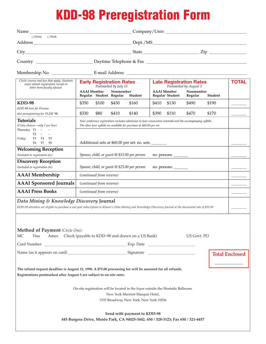# **KDD-98 Preregistration Form**

| Name $\_\_$                                                                                                                                                                                              |                                                                                                                                                                                      |                                                                             |                                       | Company/Univ.                                            |         |                       |
|----------------------------------------------------------------------------------------------------------------------------------------------------------------------------------------------------------|--------------------------------------------------------------------------------------------------------------------------------------------------------------------------------------|-----------------------------------------------------------------------------|---------------------------------------|----------------------------------------------------------|---------|-----------------------|
| $\Box$ Home $\Box$ Work                                                                                                                                                                                  |                                                                                                                                                                                      |                                                                             |                                       |                                                          |         |                       |
|                                                                                                                                                                                                          |                                                                                                                                                                                      |                                                                             |                                       |                                                          |         |                       |
|                                                                                                                                                                                                          |                                                                                                                                                                                      |                                                                             |                                       |                                                          |         |                       |
|                                                                                                                                                                                                          |                                                                                                                                                                                      |                                                                             |                                       |                                                          |         |                       |
|                                                                                                                                                                                                          |                                                                                                                                                                                      |                                                                             |                                       |                                                          |         |                       |
| Circle courses and fees that apply. Students<br>must submit registration receipt or<br>letter from faculty advisor.                                                                                      | <b>Early Registration Rates</b><br>Postmarked by July 15                                                                                                                             |                                                                             |                                       | <b>Late Registration Rates</b><br>Postmarked by August 5 |         | <b>TOTAL</b>          |
|                                                                                                                                                                                                          | <b>AAAI</b> Member<br>Regular Student Regular                                                                                                                                        | Nonmember<br>Student                                                        | <b>AAAI</b> Member<br>Regular Student | Nonmember<br>Regular                                     | Student |                       |
| KDD-98                                                                                                                                                                                                   | \$350<br>\$100                                                                                                                                                                       | \$430<br>\$160                                                              | \$410<br>\$130                        | \$490                                                    | \$190   |                       |
| KDD-98 Fees for Persons<br>also preregistering for VLDB '98                                                                                                                                              | \$330<br>\$80                                                                                                                                                                        | \$410<br>\$140                                                              | \$390<br>\$110                        | \$470                                                    | \$170   |                       |
| <b>Tutorials</b><br>(Circle choices-only 1 per line)<br>Thursday T1<br>$\sim$ $ \sim$                                                                                                                    | Your conference registration includes admission to four consecutive tutorials and the accompanying syllabi.<br>The other four syllabi are available for purchase at \$60.00 per set. |                                                                             |                                       |                                                          |         |                       |
| T2<br>$\overline{\phantom{a}}$<br>T3 T4<br>Friday:<br>T5<br>T6 T7<br>T8                                                                                                                                  | Additional sets at \$60.00 per set: no. sets: _______                                                                                                                                |                                                                             |                                       |                                                          |         |                       |
| <b>Welcoming Reception</b><br>(Included in registration fee)                                                                                                                                             | Spouse, child, or guest @ \$15.00 per person                                                                                                                                         |                                                                             | no. persons:                          |                                                          |         |                       |
| <b>Discovery Reception</b><br>(Included in registration fee)                                                                                                                                             | Spouse, child, or guest @ \$25.00 per person                                                                                                                                         |                                                                             | no. persons:                          |                                                          |         |                       |
| <b>AAAI</b> Membership                                                                                                                                                                                   | (continued from reverse)                                                                                                                                                             |                                                                             |                                       |                                                          |         |                       |
| <b>AAAI</b> Sponsored Journals                                                                                                                                                                           | (continued from reverse)                                                                                                                                                             |                                                                             |                                       |                                                          |         |                       |
| <b>AAAI</b> Press Books                                                                                                                                                                                  | (continued from reverse)                                                                                                                                                             |                                                                             |                                       |                                                          |         |                       |
| Data Mining & Knowledge Discovery Journal<br>KDD-98 attendees are eligible to purchase a one-year subscription to Kluwer's Data Mining and Knowledge Discovery Journal at the discounted rate of \$55.00 |                                                                                                                                                                                      |                                                                             |                                       |                                                          |         |                       |
| <b>Method of Payment</b> (Circle One):<br>Visa<br>МC                                                                                                                                                     | Amex Check (payable to KDD-98 and drawn on a US Bank)                                                                                                                                |                                                                             |                                       | US Govt. PO                                              |         |                       |
|                                                                                                                                                                                                          |                                                                                                                                                                                      |                                                                             |                                       |                                                          |         |                       |
|                                                                                                                                                                                                          |                                                                                                                                                                                      |                                                                             |                                       |                                                          |         | <b>Total Enclosed</b> |
| The refund request deadline is August 12, 1998. A \$75.00 processing fee will be assessed for all refunds.<br>Registrations postmarked after August 5 are subject to on-site rates.                      |                                                                                                                                                                                      |                                                                             |                                       |                                                          |         |                       |
|                                                                                                                                                                                                          | On-site registration will be located in the foyer outside the Westside Ballroom.                                                                                                     | New York Marriott Marquis Hotel,<br>1535 Broadway, New York, New York 10036 |                                       |                                                          |         |                       |
|                                                                                                                                                                                                          | 445 Burgess Drive, Menlo Park, CA 94025-3442. 650 / 328-3123; Fax 650 / 321-4457                                                                                                     | Send with payment to KDD-98                                                 |                                       |                                                          |         |                       |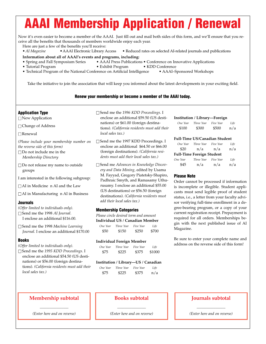# **AAAI Membership Application / Renewal**

Now it's even easier to become a member of the AAAI. Just fill out and mail both sides of this form, and we'll ensure that you receive all the benefits that thousands of members worldwide enjoy each year.

Here are just a few of the benefits you'll receive:

• AI Magazine • AAAI Electronic Library Access • Reduced rates on selected AI-related journals and publications

**Information about all of AAAI's events and programs, including:**

- Spring and Fall Symposium Series AAAI Press Publications Conference on Innovative Applications
- Tutorial Program Exhibit Program KDD Conference
- Technical Program of the National Conference on Artificial Intelligence AAAI–Sponsored Workshops

Take the initiative to join the association that will keep you informed about the latest developments in your exciting field.

#### **Renew your membership or become a member of the AAAI today.**

#### **Application Type**

□ New Application

□ Change of Address

□ Renewal

*(Please include your membership number on the reverse side of this form)*

- $\Box$  <br> Do not include me in the *Membership Directory*
- $\square$  Do not release my name to outside groups
- I am interested in the following subgroup:

 $\Box$  AI in Medicine n AI and the Law

 $\Box$  AI in Manufacturing n AI in Business

#### **Journals**

- *(Offer limited to individuals only).*
- □ Send me the 1998 *AI Journal*. I enclose an additional \$116.00.
- □ Send me the 1998 Machine Learning *Journal.* I enclose an additional \$170.00

#### **Books**

*(Offer limited to individuals only).*

□ Send me the *1995 KDD Proceedings*. I enclose an additional \$54.50 (US destinations) or \$56.00 (foreign destinations)*. (California residents must add their local sales tax.)*

- □ Send me the *1996 KDD Proceedings*. I enclose an additional \$59.50 (US destinations) or \$61.00 (foreign destinations). *(California residents must add their local sales tax.)*
- □ Send me the 1997 KDD Proceedings. I enclose an additional \$64.50 or \$66.00 (foreign destinations)*. (California residents must add their local sales tax.)*
- □ Send me *Advances in Knowledge Discovery and Data Mining,* edited by Usama M. Fayyad, Gregory Piatetsky-Shapiro, Padhraic Smyth, and Ramasamy Uthurusamy. I enclose an additional \$55.00 (US destinations) or \$56.50 (foreign destinations). *(California residents must add their local sales tax.)*

#### **Membership Categories**

*Please circle desired term and amount*

**Individual US / Canadian Member** *One Year Three Year Five Year Life*

| \$150 | \$250 | \$700 |
|-------|-------|-------|
|       |       |       |

#### **Individual Foreign Member**

| One Year | Three Year | Five Year | Life   |
|----------|------------|-----------|--------|
| \$75     | \$225      | \$375     | \$1000 |

#### **Institution / Library—US / Canadian**

| One Year | Three Year | Five Year | Life |
|----------|------------|-----------|------|
| \$75     | \$225      | \$375     | n/a  |

#### **Institution / Library—Foreign**

| One Year | Three Year | Five Year | Life |
|----------|------------|-----------|------|
| \$100    | \$300      | \$500     | n/a  |

#### **Full-Time US/Canadian Student**

| One Year | Three Year                       | Five Year | Life |
|----------|----------------------------------|-----------|------|
| \$20     | n/a                              | n/a       | n/a  |
|          | <b>Full-Time Foreign Student</b> |           |      |
| One Year | Three Year                       | Five Year | Life |
| \$45     | n/a                              | n/a       | n/a  |

#### **Please Note**

Order cannot be processed if information is incomplete or illegible. Student applicants must send legible proof of student status, i.e., a letter from your faculty advisor verifying full-time enrollment in a degree-bearing program, or a copy of your current registration receipt. Prepayment is required for all orders. Memberships begin with the next published issue of AI Magazine.

Be sure to enter your complete name and address on the reverse side of this form!

#### **Membership subtotal**

 $\overline{\phantom{a}}$  , where  $\overline{\phantom{a}}$ *(Enter here and on reverse)*

#### **Books subtotal**

 $\overline{\phantom{a}}$  , where  $\overline{\phantom{a}}$ *(Enter here and on reverse)*

#### **Journals subtotal**

 $\overline{\phantom{a}}$  , where  $\overline{\phantom{a}}$ *(Enter here and on reverse)*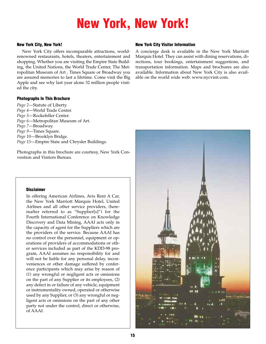# **New York, New York!**

#### **New York City, New York!**

New York City offers incomparable attractions, worldrenowned restaurants, hotels, theaters, entertainment and shopping. Whether you are visiting the Empire State Building, the United Nations, the World Trade Center, The Metropolitan Museum of Art , Times Square or Broadway you are assured memories to last a lifetime. Come visit the Big Apple and see why last year alone 32 million people visited the city.

#### **Photographs In This Brochure**

*Page 2*—Statute of Liberty. *Page 4*—World Trade Center. *Page 5*—Rockefeller Center. *Page 6*—Metropolitan Museum of Art. *Page 7*—Broadway. *Page 9*—Times Square. *Page 10*—Brooklyn Bridge. *Page 15*—Empire State and Chrysler Buildings.

Photographs in this brochure are courtesy, New York Convention and Visitors Bureau.

#### **Disclaimer**

In offering American Airlines, Avis Rent A Car, the New York Marriott Marquis Hotel, United Airlines and all other service providers, (hereinafter referred to as "Supplier[s]") for the Fourth International Conference on Knowledge Discovery and Data Mining, AAAI acts only in the capacity of agent for the Suppliers which are the providers of the service. Because AAAI has no control over the personnel, equipment or operations of providers of accommodations or other services included as part of the KDD-98 program, AAAI assumes no responsibility for and will not be liable for any personal delay, inconveniences or other damage suffered by conference participants which may arise by reason of (1) any wrongful or negligent acts or omissions on the part of any Supplier or its employees, (2) any defect in or failure of any vehicle, equipment or instrumentality owned, operated or otherwise used by any Supplier, or (3) any wrongful or negligent acts or omissions on the part of any other party not under the control, direct or otherwise, of AAAI.

#### **New York City Visitor Information**

A concierge desk is available in the New York Marriott Marquis Hotel. They can assist with dining reservations, directions, tour bookings, entertainment suggestions, and transportation information. Maps and brochures are also available. Information about New York City is also available on the world wide web: www.nycvisit.com.